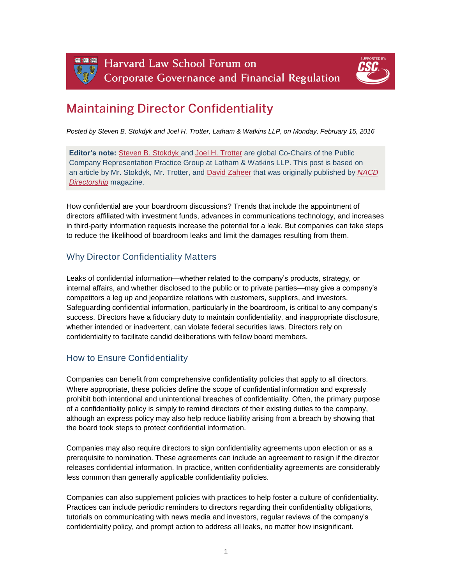Harvard Law School Forum on **Corporate Governance and Financial Regulation** 



# **Maintaining Director Confidentiality**

*Posted by Steven B. Stokdyk and Joel H. Trotter, Latham & Watkins LLP, on Monday, February 15, 2016*

**Editor's note:** [Steven B. Stokdyk](https://www.lw.com/people/steven-stokdyk) and [Joel H. Trotter](https://www.lw.com/people/joel-trotter) are global Co-Chairs of the Public Company Representation Practice Group at Latham & Watkins LLP. This post is based on an article by Mr. Stokdyk, Mr. Trotter, and [David Zaheer](https://www.lw.com/people/david-zaheer) that was originally published by *[NACD](https://www.nacdonline.org/Magazine/Article.cfm?ItemNumber=19395)  [Directorship](https://www.nacdonline.org/Magazine/Article.cfm?ItemNumber=19395)* magazine.

How confidential are your boardroom discussions? Trends that include the appointment of directors affiliated with investment funds, advances in communications technology, and increases in third-party information requests increase the potential for a leak. But companies can take steps to reduce the likelihood of boardroom leaks and limit the damages resulting from them.

## Why Director Confidentiality Matters

Leaks of confidential information—whether related to the company's products, strategy, or internal affairs, and whether disclosed to the public or to private parties—may give a company's competitors a leg up and jeopardize relations with customers, suppliers, and investors. Safeguarding confidential information, particularly in the boardroom, is critical to any company's success. Directors have a fiduciary duty to maintain confidentiality, and inappropriate disclosure, whether intended or inadvertent, can violate federal securities laws. Directors rely on confidentiality to facilitate candid deliberations with fellow board members.

## How to Ensure Confidentiality

Companies can benefit from comprehensive confidentiality policies that apply to all directors. Where appropriate, these policies define the scope of confidential information and expressly prohibit both intentional and unintentional breaches of confidentiality. Often, the primary purpose of a confidentiality policy is simply to remind directors of their existing duties to the company, although an express policy may also help reduce liability arising from a breach by showing that the board took steps to protect confidential information.

Companies may also require directors to sign confidentiality agreements upon election or as a prerequisite to nomination. These agreements can include an agreement to resign if the director releases confidential information. In practice, written confidentiality agreements are considerably less common than generally applicable confidentiality policies.

Companies can also supplement policies with practices to help foster a culture of confidentiality. Practices can include periodic reminders to directors regarding their confidentiality obligations, tutorials on communicating with news media and investors, regular reviews of the company's confidentiality policy, and prompt action to address all leaks, no matter how insignificant.